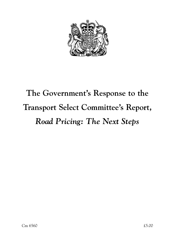

# **The Government's Response to the Transport Select Committee's Report,** *Road Pricing: The Next Steps*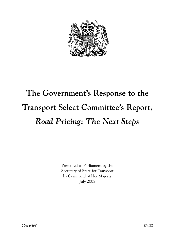

# **The Government's Response to the Transport Select Committee's Report,** *Road Pricing: The Next Steps*

Presented to Parliament by the Secretary of State for Transport by Command of Her Majesty July 2005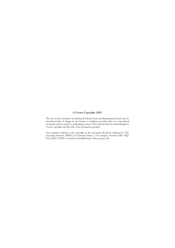#### **© Crown Copyright 2005**

The text in this document (excluding the Royal Arms and departmental logos) may be reproduced free of charge in any format or medium providing that it is reproduced accurately and not used in a misleading context. The material must be acknowledged as Crown copyright and the title of the document specified.

Any enquiries relating to the copyright in this document should be addressed to The Licensing Division, HMSO, St Clements House, 2-16 Colegate, Norwich NR3 1BQ. Fax: 01603 723000 or e-mail: licensing@cabinet-office.x.gsi.gov.uk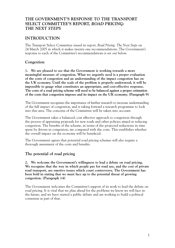## **THE GOVERNMENT'S RESPONSE TO THE TRANSPORT SELECT COMMITTEE'S REPORT,** *ROAD PRICING: THE NEXT STEPS*

# **INTRODUCTION**

The Transport Select Committee issued its report, *Road Pricing: The Next Steps* on 24 March 2005 in which it makes twenty-one recommendations. The Government's response to each of the Committee's recommendations is set out below.

## **Congestion**

**1. We are pleased to see that the Government is working towards a more meaningful measure of congestion. What we urgently need is a proper evaluation of the costs of congestion and an understanding of the impact congestion has on the UK economy. Until the scale of the problem is properly understood, it will be impossible to gauge what constitutes an appropriate, and cost-effective response. The costs of a road pricing scheme will need to be balanced against a proper estimation of the costs that congestion imposes and its impact on the UK economy. (Paragraph 9)** 

The Government recognises the importance of further research to increase understanding of the full impact of congestion, and is taking forward a research programme to look into this area. The concerns of the Committee will be taken into account.

The Government takes a balanced, cost effective approach to congestion through the process of appraising proposals for new roads and other policies aimed at reducing congestion. The benefits of the scheme, in terms of the projected reductions in time spent by drivers in congestion, are compared with the costs. This establishes whether the overall impact on the economy will be beneficial.

The Government agrees that potential road pricing schemes will also require a thorough assessment of the costs and benefits.

# **The potential of road pricing**

**2. We welcome the Government's willingness to lead a debate on road pricing. We recognise that the way in which people pay for road use, and the cost of private road transport, are emotive issues which court controversy. The Government has been bold in stating that we must face up to the potential threat of growing congestion. (Paragraph 14)** 

The Government welcomes the Committee's support of its work to lead the debate on road pricing. It is vital that we plan ahead for the problems we know we will face in the future, and we have started a public debate and are working to build a political consensus as part of that.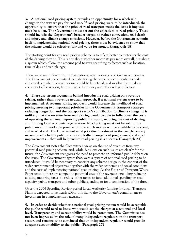**3. A national road pricing system provides an opportunity for a wholesale change in the way we pay for road use. If road pricing were to be introduced, the opportunity to ensure that the price of road transport meets the costs it imposes must be taken. The Government must set out the objectives of road pricing. These should include the Department's broader targets to reduce congestion, road death and injury and climate change emissions. However, before the Government commits itself to implementing national road pricing, there must be evidence to show that the scheme would be effective, fair and value for money. (Paragraph 18)** 

The starting point for any road pricing scheme is to reflect better to motorists the costs of the driving they do. This is not about whether motorists pay more overall, but about a system which allows the amount paid to vary according to factors such as location, time of day and vehicle type.

There are many different forms that national road pricing could take in our country. The Government is committed to undertaking the work needed in order to make choices about whether road pricing would be beneficial, and in what form, taking account of effectiveness, fairness, value for money and other relevant factors.

**4. There are strong arguments behind introducing road pricing on a revenue raising, rather than a revenue neutral, approach, if a national system were to be implemented. A revenue raising approach would increase the likelihood of road pricing meeting two important priorities in the Government's transport strategy: reducing congestion and the transport sector's contribution to climate change. It is unlikely that the revenue from road pricing would be able to fully cover the costs of operating the scheme, improving public transport, reducing the cost of driving, and funding local economic regeneration. Road pricing must not be sold to the public on an unworkable promise of how much money will be available to be spent, and to what end. The Government must prioritise investment in the complementary measures – including public transport, traffic management programmes, and road improvements – that will help ensure road pricing is a success. (Paragraph 24)** 

The Government notes the Committee's views on the use of revenues from any potential road pricing scheme and, while decisions on such issues are clearly for the future, the Government recognises the need to promote an informed public debate on the issues. The Government agrees that, were a system of national road pricing to be introduced, it would be necessary to consider any scheme design in the context of the wider environmental objectives, together with the wider economic and social conditions and the costs of implementing national road pricing. As the Future of Transport White Paper set out, there are competing potential uses of the revenues, including reducing existing motoring taxes, to reduce other taxes, to fund additional spending on road capacity, public transport and other public spending or for a combination of the three.

Over the 2004 Spending Review period Local Authority funding for Local Transport Plans is expected to be nearly £5bn; this shows the Government's commitment to investment in complementary measures.

**5. In order to decide whether a national road pricing system would be acceptable, the public would need to know who would set the charges at a national and local level. Transparency and accountability would be paramount. The Committee has not been impressed by the role of many independent regulators in the transport sector, and remains to be convinced that an independent regulator would provide adequate accountability to the public. (Paragraph 27)**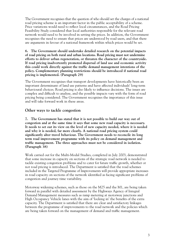The Government recognises that the question of who should set the charges of a national road pricing scheme is an important factor in the public acceptability of a scheme. Price variations would need to reflect local circumstances, and the Road Pricing Feasibility Study considered that local authorities responsible for the relevant road network would need to be involved in setting the prices. In addition, the Government recognises the need to ensure that prices are understood by road users, and that there are arguments in favour of a national framework within which prices would be set.

**6. The Government should undertake detailed research on the potential impacts of road pricing on both rural and urban locations. Road pricing must not undermine efforts to deliver urban regeneration, or threaten the character of the countryside. If road pricing inadvertently promoted dispersal of land use and economic activity this could work directly against the traffic demand management intentions of the policy. Complementary planning restrictions should be introduced if national road pricing is implemented. (Paragraph 29)** 

The Government recognises that transport developments have historically been an important determinant of land use patterns and have affected individuals' long-term behavioural choices. Road pricing is also likely to influence decisions. The issues are complex and difficult to analyse, and the possible impacts vary with the form of road pricing being considered. The Government recognises the importance of this issue and will take forward work in these areas.

#### **Other ways to tackle congestion**

**7. The Government has stated that it is not possible to build our way out of congestion and at the same time it says that some new road capacity is necessary. It needs to set out its view on the level of new capacity needed, where it is needed and why it is needed, far more clearly. A national road pricing system could significantly alter travel behaviour. The Government needs to reconcile its long term road improvement programme with its policy on demand management and traffic management. The three approaches must not be considered in isolation. (Paragraph 38)** 

Work carried out for the Multi-Modal Studies, completed in July 2003, demonstrated that some increase in capacity on sections of the strategic road network is needed to tackle existing congestion problems and to cater for future traffic growth, whether or not road pricing is introduced. The Department is satisfied that the road schemes included in the Targeted Programme of Improvements will provide appropriate increases in road capacity on sections of the network identified as facing significant problems of congestion and journey time variability.

Motorway widening schemes, such as those on the M25 and the M1, are being taken forward in parallel with detailed assessment by the Highways Agency of Integral Demand Management measures such as ramp metering at motorway junctions and High Occupancy Vehicle lanes with the aim of 'locking in' the benefits of the extra capacity. The Department is satisfied that there are clear and satisfactory linkages between the programme of improvements to the road network and the policies which are being taken forward on the management of demand and traffic management.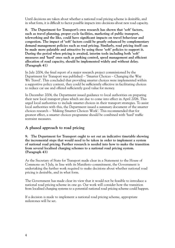Until decisions are taken about whether a national road pricing scheme is desirable, and in what form, it is difficult to factor possible impacts into decisions about new road capacity.

**8. The Department for Transport's own research has shown that 'soft' factors, such as travel planning, proper cycle facilities, marketing of public transport, teleworking and the like, could have significant impacts on travel behaviour and congestion. The impact of 'soft' factors could be greatly enhanced by complementary demand management policies such as road pricing. Similarly, road pricing itself can be made more palatable and attractive by using these 'soft' policies to support it. During the period when pricing is awaited, interim tools including both 'soft' measures and 'hard' ones such as parking control, speed management and efficient allocation of road capacity, should be implemented widely and without delay. (Paragraph 41)**

In July 2004, the final report of a major research project commissioned by the Department for Transport was published – 'Smarter Choices – Changing the Way We Travel'. This concluded that providing smarter choices were implemented within a supportive policy context, they could be sufficiently effective in facilitating choices to reduce car use and offered sufficiently good value for money.

In December 2004, the Department issued guidance to local authorities on preparing their new local transport plans which are due to come into effect in April 2006. This urged local authorities to include smarter choices in their transport strategies. To assist local authorities with this, the Department issued a summary document of the smarter choices research – 'Making Smarter Choices Work'. This recommended that for greatest effect, a smarter choices programme should be combined with 'hard' traffic restraint measures.

# **A phased approach to road pricing**

**9. The Department for Transport ought to set out an indicative timetable showing the incremental steps that would need to be taken in order to implement a system of national road pricing. Further research is needed into how to make the transition from several localised charging schemes to a national road pricing system. (Paragraph 43)** 

As the Secretary of State for Transport made clear in a Statement to the House of Commons on 5 July, in line with its Manifesto commitment, the Government is undertaking the further work required to make decisions about whether national road pricing is desirable, and in what form.

The Government has made clear its view that it would not be feasible to introduce a national road pricing scheme in one go. Our work will consider how the transition from localised charging systems to a potential national road pricing scheme could happen.

If a decision is made to implement a national road pricing scheme, appropriate milestones will be set.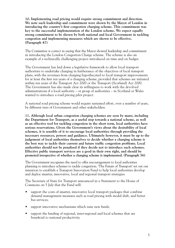**10. Implementing road pricing would require strong commitment and direction. We note such leadership and commitment were shown by the Mayor of London in introducing the country's first congestion charging scheme. This commitment was key to the successful implementation of the London scheme. We expect equally strong commitment to be shown by both national and local Government in tackling congestion and implementing measures which are shown to be effective. (Paragraph 47)** 

The Committee is correct in saying that the Mayor showed leadership and commitment in introducing the London Congestion Charge scheme. The scheme is also an example of a technically challenging project introduced on time and on budget.

The Government has laid down a legislative framework to allow local transport authorities to undertake charging in furtherance of the objectives of local transport plans, with the revenues from charging hypothecated to local transport improvements for at least the first ten years of a charging scheme, provided that schemes are initiated within ten years of the Transport Act 2000 or the Transport (Scotland) Act 2000. The Government has also made clear its willingness to work with the devolved administrations if a local authority – or group of authorities – in Scotland or Wales wanted to introduce a road pricing pilot project.

A national road pricing scheme would require sustained effort, over a number of years, by different tiers of Government and other stakeholders.

**11. Although local urban congestion charging schemes are seen by many, including the Department for Transport, as a useful step towards a national scheme, as well as an effective tool for tackling congestion in the short term, local authorities have serious reservations. Given the Government's views about the desirability of local schemes, it is sensible of it to encourage local authorities through providing the necessary resources, powers and guidance. Ultimately however, it must be up to the judgement of local authorities themselves to decide whether a charging scheme is the best way to tackle their current and future traffic congestion problems. Local authorities should not be penalised if they decide not to introduce such schemes. Effective public transport services are a good in their own right, and should be promoted irrespective of whether a charging scheme is implemented. (Paragraph 56)** 

The Government recognises the need to offer encouragement to local authorities planning to introduce schemes to tackle congestion. 'The Future of Transport' set out our intention to establish a Transport Innovation Fund to help local authorities develop and deploy smarter, innovative, local and regional transport strategies.

The Secretary of State for Transport announced in a Statement to the House of Commons on 5 July that the Fund will:

- support the costs of smarter, innovative local transport packages that combine demand management measures such as road pricing with modal shift, and better bus services;
- support innovative mechanisms which raise new funds;
- support the funding of regional, inter-regional and local schemes that are beneficial to national productivity.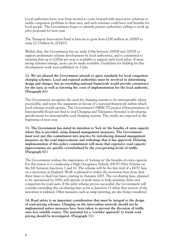Local authorities have now been invited to come forward with innovative solutions to tackle congestion problems in their area, and such schemes could have real benefits for local people. The Government hopes to identify partner authorities willing to work up pilot proposals for next year.

The Transport Innovation Fund is forecast to grow from £290 million in 2008/9 to some £2.5 billion by 2014/15;

Within that, the Government has set aside £18m between 2005/6 and 2007/8 to support preliminary scheme development by local authorities, and is committed to ensuring that up to £200m per year is available to support such local pilots. If more strong schemes emerge, more can be made available. Guidelines for bidding for this development work were published on 5 July.

**12. We are pleased the Government intends to agree standards for local congestion charging schemes. Local and regional authorities must be involved in determining design and charges, but an overriding national framework would provide consistency for the user, as well as lowering the costs of implementation for the local authority. (Paragraph 62)** 

The Government recognises the need for charging systems to be interoperable where practicable, and notes the arguments in favour of a national framework within which local schemes would operate. The Government's DIRECTS project (Demonstration of Interoperable Road-user End to end Charging and Telematics Systems) is developing specifications for interoperable road charging systems. The results are expected at the beginning of next year.

**13. The Government has stated its intention to 'lock in' the benefits of extra capacity where this is provided, using demand management measures. The Government must now put this commitment into practice by introducing demand management measures on the road improvements and widenings that it has approved. Delaying implementation of this policy commitment will mean that expensive road capacity improvements are quickly overwhelmed by the ever-growing levels of traffic. (Paragraph 67)** 

The Government realises the importance of 'locking in' the benefits of extra capacity. For this reason it is conducting a High Occupancy Vehicle (HOV) Pilot Scheme on the M1 between Junctions 7 and 10. The scheme will be the first trial of a HOV lane on a motorway in England. Work is planned to widen the motorway here from dual three lanes to dual four lanes, starting in Autumn 2005. The car-sharing lane, planned to be operational by 2008, will operate at peak times to help minimise delay and congestion for road users. If the pilot scheme proves successful, the Government will consider extending the car-sharing lane as far as Junction 13 when that section of the motorway is widened. Other measures, such as ramp metering, are also being considered.

**14. Road safety is an important consideration that must be integral to the design of road pricing schemes. Charging on the inter-urban network should not be implemented unless measures have been taken to prevent the diversion of traffic onto less suitable routes. The potential for a 'corridor approach' to trunk road pricing should be investigated. (Paragraph 71)**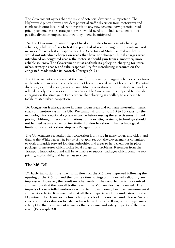The Government agrees that the issue of potential diversion is important. The Highways Agency always considers potential traffic diversion from motorways and trunk roads onto local roads with regards to any new scheme. Any potential road pricing scheme on the strategic network would need to include consideration of possible diversion impacts and how they might be mitigated.

**15. The Government cannot expect local authorities to implement charging schemes, while it refuses to test the potential of road pricing on the strategic road network for which it is responsible. The Secretary of State has told us that he would not introduce charges on roads that have not changed; but if charges were introduced on congested roads, the motorist should gain from a smoother, more reliable journey. The Government must re-think its policy on charging for interurban strategic roads, and take responsibility for introducing measures on the congested roads under its control. (Paragraph 74)** 

The Government considers that the case for introducing charging schemes on sections of the inter-urban network which have not been improved has not been made. Potential diversion, as noted above, is a key issue. Much congestion on the strategic network is related closely to congestion in urban areas. The Government is prepared to consider charging on the strategic network where that charging is ancillary to a scheme to tackle related urban congestion.

**16. Congestion is already acute in many urban areas and on many inter-urban trunk roads and motorways in the UK. We cannot afford to wait 10 to 15 years for the technology for a national system to arrive before testing the effectiveness of road pricing. Although there are limitations to the existing systems, technology should not be used as an excuse for inactivity. London has shown that technological limitations are not a show stopper. (Paragraph 80)** 

The Government recognises that congestion is an issue in many towns and cities, and that, as the White Paper *The Future of Transport* set out, the Government is committed to work alongside forward looking authorities and areas to help them put in place packages of measures which tackle local congestion problems. Resources from the Transport Innovation Fund will be available to support packages which combine road pricing, modal shift, and better bus services.

### **The M6 Toll**

**17. Early indications are that traffic flows on the M6 have improved following the opening of the M6 Toll and the journey time savings and increased reliability are impressive. However, the result on other roads in the conurbation is more mixed and we note that the overall traffic level in the M6 corridor has increased. The impacts of a new tolled motorway will extend to economic, land use, environmental and safety effects. It is essential that all these impacts are fully understood by the Department for Transport before other projects of this sort are undertaken. We are concerned that evaluation to date has been limited to traffic flows, with no systematic attempt by the Government to assess the economic and safety impacts of the new road. (Paragraph 90)**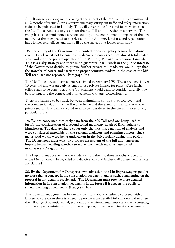A multi-agency steering group looking at the impact of the M6 Toll have commissioned a '12 months after study'. An executive summary setting out traffic and safety information is due to be published in late July. This will cover traffic flows and journey times on the M6 Toll as well as safety issues for the M6 Toll and the wider area network. The group has also commissioned a report looking at the environmental impacts of the new motorway; this is expected to be released in the Autumn. Land use and regeneration have longer term effects and thus will be the subject of a longer term study.

**18. The ability of the Government to control transport policy across the national road network must not be compromised. We are concerned that almost total control was handed to the private operator of the M6 Toll, Midland Expressway Limited. This is a risky strategy and there is no guarantee it will work in the public interest. If the Government decides to pursue further private toll roads, we would urge that the transfer of power and barriers to proper scrutiny, evident in the case of the M6 Toll road, are not repeated. (Paragraph 96)** 

The M6 Toll concession agreement was signed in February 1992. The agreement is over 10 years old and was an early attempt to use private finance for roads. Were further tolled roads to be constructed, the Government would want to consider carefully how best to structure the contractual arrangements with any concessionaire.

There is a balance to be struck between maintaining controls over toll levels and the commercial viability of a toll road scheme and the extent of risk transfer to the private sector. This balance would need to be considered in the circumstances of any particular project.

**19. We are concerned that early data from the M6 Toll road are being used to justify the consideration of a second tolled motorway north of Birmingham to Manchester. The data available cover only the first three months of analysis and were considered unreliable by the regional engineers and planning officers, since major road works were being undertaken in the M6 corridor during this period. The Department must wait for a proper assessment of the full and long-term impacts before deciding whether to move ahead with more private tolled motorways. (Paragraph 98)** 

The Department accepts that the evidence from the first three months of operation of the M6 Toll should be regarded as indicative only and further traffic assessment reports are planned.

**20. By the Department for Transport's own admission, the M6 Expressway proposal is no more than a concept in the consultation document, and as such, commenting on the proposal in any detail is problematic. The Department must provide more detailed information in its consultation documents in the future if it expects the public to submit meaningful comments. (Paragraph 105)** 

The Government agrees that before any decisions about whether to proceed with an Expressway are taken there is a need to provide more detailed information and to assess the full range of potential social, economic and environmental impacts of the Expressway, and the scope for minimising any adverse impacts, as well as maximising the benefits.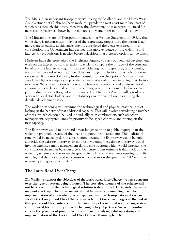The M6 is in an important transport artery linking the Midlands and the North West. An investment of £7.6bn has been made to upgrade the west coast main line, part of which runs through this artery. However, the Government has accepted the need for more road capacity, as shown by the midlands to Manchester multi-modal study.

The Minister of State for Transport announced in a Written Statement on 19 July that while there is no consensus in favour of the Expressway proposition, the option is no more than an outline at this stage. Having considered the views expressed in the consultation, the Government has decided that more evidence on the widening and Expressway propositions is needed before a decision on a preferred option can be taken.

Ministers have therefore asked the Highways Agency to carry out detailed development work on the Expressway and a feasibility study to compare the impacts of the costs and benefits of the Expressway against those of widening. Both Expressway and widening options will be worked up in parallel. The next stage is a decision on which option to take to public inquiry, following further consultation on the options. Ministers have asked the Highways Agency to provide further advice with a view to taking that decision next year. Whichever option is chosen, the financial, economic and environmental appraisal work to be carried out over the coming year will be required before we can publish draft orders setting out our proposals. The Highways Agency will consult and work with local stakeholders and the statutory environmental agencies during the detailed development work.

The work on widening will examine the technological and physical practicalities of locking in the benefits of that additional capacity. This will involve considering a number of measures, which could be used individually or in combination, such as: access management; segregated lanes for priority traffic; speed controls; and pricing on the new capacity.

The Expressway would take around a year longer to bring to public inquiry than the widening proposal, because of the need to appoint a concessionaire. This additional time would be made up during construction, because the Expressway would be built alongside the existing motorway. In contrast, widening the existing motorway would involve extensive traffic management during construction, which would lengthen the construction timescales by about a year. Our current best estimate is that work on the widening scheme could start on the ground in 2011 with the scheme opening to traffic in 2016; and that work on the Expressway could start on the ground in 2012 with the scheme opening to traffic in 2016.

### **The Lorry Road User Charge**

**21. While we support the objectives of the Lorry Road User Charge, we have concerns over the type of system being pursued. The cost effectiveness of the scheme will not be known until the technological solution is determined. Ultimately the sums may not stack up. The Government should be wary of committing itself to implementation of a potentially very expensive and overly-sophisticated system. Ideally the Lorry Road User Charge contracts the Government signs at the end of this year should take into account the possibility of a national road pricing system and the need for flexibility to meet changing policy objectives. We will monitor closely the progress of procurement, cost benefit analysis, pilot operation, and implementation of the Lorry Road User Charge. (Paragraph 116)**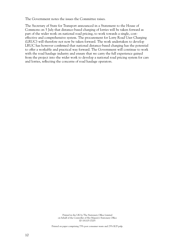The Government notes the issues the Committee raises.

The Secretary of State for Transport announced in a Statement to the House of Commons on 5 July that distance-based charging of lorries will be taken forward as part of the wider work on national road pricing, to work towards a single, costeffective and comprehensive system. The procurement for Lorry Road User Charging (LRUC) will therefore not now be taken forward. The work undertaken to develop LRUC has however confirmed that national distance-based charging has the potential to offer a workable and practical way forward. The Government will continue to work with the road haulage industry and ensure that we carry the full experience gained from the project into the wider work to develop a national road pricing system for cars and lorries, reflecting the concerns of road haulage operators.

> Printed in the UK by The Stationery Office Limited on behalf of the Controller of Her Majesty's Stationery Office ID 181105 07/05

Printed on paper comprising 75% post consumer waste and 25% ECF pulp.